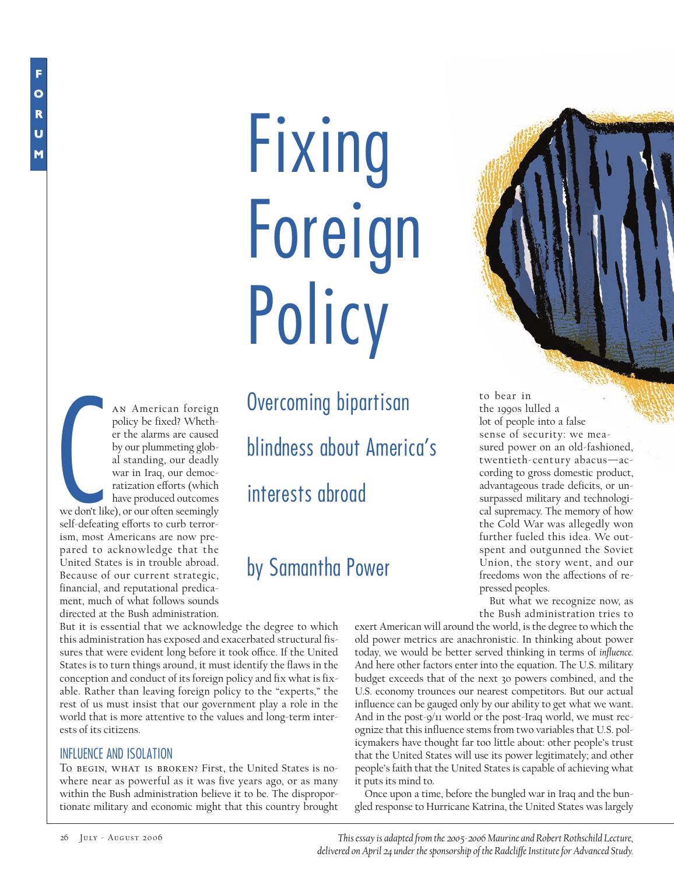# Fixing Foreign **Policy**

C an American foreign policy be fixed? Whether the alarms are caused by our plummeting global standing, our deadly war in Iraq, our democratization efforts (which have produced outcomes we don't like), or our often seemingly self-defeating efforts to curb terrorism, most Americans are now prepared to acknowledge that the United States is in trouble abroad. Because of our current strategic, financial, and reputational predicament, much of what follows sounds directed at the Bush administration.

Overcoming bipartisan blindness about America's interests abroad

## by Samantha Power

But it is essential that we acknowledge the degree to which this administration has exposed and exacerbated structural fissures that were evident long before it took office. If the United States is to turn things around, it must identify the flaws in the conception and conduct of its foreign policy and fix what is fixable. Rather than leaving foreign policy to the "experts," the rest of us must insist that our government play a role in the world that is more attentive to the values and long-term interests of its citizens.

#### INFLUENCE AND ISOLATION

To begin, what is broken? First, the United States is nowhere near as powerful as it was five years ago, or as many within the Bush administration believe it to be. The disproportionate military and economic might that this country brought



to bear in the 1990s lulled a lot of people into a false sense of security: we measured power on an old-fashioned, twentieth-century abacus—according to gross domestic product, advantageous trade deficits, or unsurpassed military and technological supremacy. The memory of how the Cold War was allegedly won further fueled this idea. We outspent and outgunned the Soviet Union, the story went, and our freedoms won the affections of repressed peoples.

But what we recognize now, as the Bush administration tries to

exert American will around the world, is the degree to which the old power metrics are anachronistic. In thinking about power today*,* we would be better served thinking in terms of *influence.* And here other factors enter into the equation. The U.S. military budget exceeds that of the next 30 powers combined, and the U.S. economy trounces our nearest competitors. But our actual influence can be gauged only by our ability to get what we want. And in the post-9/11 world or the post-Iraq world, we must recognize that this influence stems from two variables that U.S. policymakers have thought far too little about: other people's trust that the United States will use its power legitimately; and other people's faith that the United States is capable of achieving what it puts its mind to.

Once upon a time, before the bungled war in Iraq and the bungled response to Hurricane Katrina, the United States was largely

*This essay is adapted from the 2005-2006 Maurine and Robert Rothschild Lecture, delivered on April 24 under the sponsorship of the Radcli≠e Institute for Advanced Study.*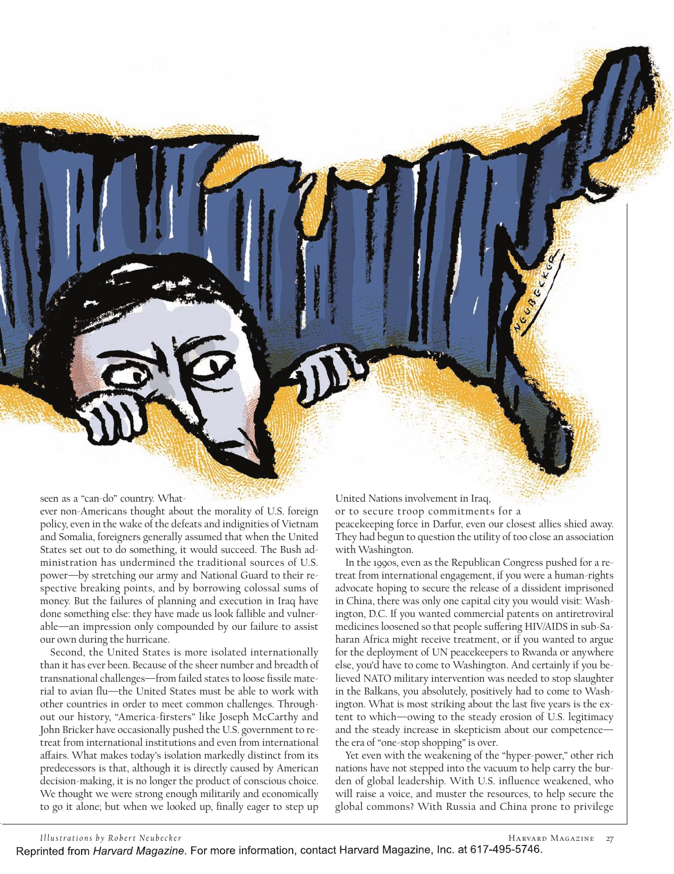seen as a "can-do" country. What-

ever non-Americans thought about the morality of U.S. foreign policy, even in the wake of the defeats and indignities of Vietnam and Somalia, foreigners generally assumed that when the United States set out to do something, it would succeed. The Bush administration has undermined the traditional sources of U.S. power—by stretching our army and National Guard to their respective breaking points, and by borrowing colossal sums of money. But the failures of planning and execution in Iraq have done something else: they have made us look fallible and vulnerable—an impression only compounded by our failure to assist our own during the hurricane.

Second, the United States is more isolated internationally than it has ever been. Because of the sheer number and breadth of transnational challenges—from failed states to loose fissile material to avian flu—the United States must be able to work with other countries in order to meet common challenges. Throughout our history, "America-firsters" like Joseph McCarthy and John Bricker have occasionally pushed the U.S. government to retreat from international institutions and even from international affairs. What makes today's isolation markedly distinct from its predecessors is that, although it is directly caused by American decision-making, it is no longer the product of conscious choice. We thought we were strong enough militarily and economically to go it alone; but when we looked up, finally eager to step up

United Nations involvement in Iraq,

or to secure troop commitments for a peacekeeping force in Darfur, even our closest allies shied away. They had begun to question the utility of too close an association with Washington.

In the 1990s, even as the Republican Congress pushed for a retreat from international engagement, if you were a human-rights advocate hoping to secure the release of a dissident imprisoned in China, there was only one capital city you would visit: Washington, D.C. If you wanted commercial patents on antiretroviral medicines loosened so that people suffering HIV/AIDS in sub-Saharan Africa might receive treatment, or if you wanted to argue for the deployment of UN peacekeepers to Rwanda or anywhere else, you'd have to come to Washington. And certainly if you believed NATO military intervention was needed to stop slaughter in the Balkans, you absolutely, positively had to come to Washington. What is most striking about the last five years is the extent to which—owing to the steady erosion of U.S. legitimacy and the steady increase in skepticism about our competence the era of "one-stop shopping" is over.

Yet even with the weakening of the "hyper-power," other rich nations have not stepped into the vacuum to help carry the burden of global leadership. With U.S. influence weakened, who will raise a voice, and muster the resources, to help secure the global commons? With Russia and China prone to privilege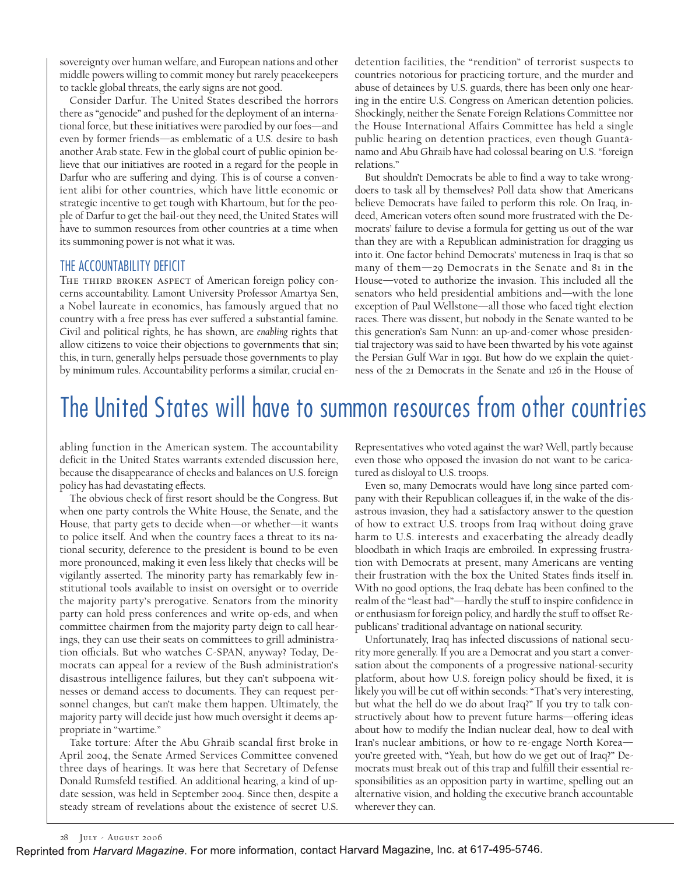sovereignty over human welfare, and European nations and other middle powers willing to commit money but rarely peacekeepers to tackle global threats, the early signs are not good.

Consider Darfur. The United States described the horrors there as "genocide" and pushed for the deployment of an international force, but these initiatives were parodied by our foes—and even by former friends—as emblematic of a U.S. desire to bash another Arab state. Few in the global court of public opinion believe that our initiatives are rooted in a regard for the people in Darfur who are suffering and dying. This is of course a convenient alibi for other countries, which have little economic or strategic incentive to get tough with Khartoum, but for the people of Darfur to get the bail-out they need, the United States will have to summon resources from other countries at a time when its summoning power is not what it was.

#### THE ACCOUNTABILITY DEFICIT

THE THIRD BROKEN ASPECT of American foreign policy concerns accountability. Lamont University Professor Amartya Sen, a Nobel laureate in economics, has famously argued that no country with a free press has ever suffered a substantial famine. Civil and political rights, he has shown, are *enabling* rights that allow citizens to voice their objections to governments that sin; this, in turn, generally helps persuade those governments to play by minimum rules. Accountability performs a similar, crucial endetention facilities, the "rendition" of terrorist suspects to countries notorious for practicing torture, and the murder and abuse of detainees by U.S. guards, there has been only one hearing in the entire U.S. Congress on American detention policies. Shockingly, neither the Senate Foreign Relations Committee nor the House International Affairs Committee has held a single public hearing on detention practices, even though Guantánamo and Abu Ghraib have had colossal bearing on U.S. "foreign relations."

But shouldn't Democrats be able to find a way to take wrongdoers to task all by themselves? Poll data show that Americans believe Democrats have failed to perform this role. On Iraq, indeed, American voters often sound more frustrated with the Democrats' failure to devise a formula for getting us out of the war than they are with a Republican administration for dragging us into it. One factor behind Democrats' muteness in Iraq is that so many of them—29 Democrats in the Senate and 81 in the House—voted to authorize the invasion. This included all the senators who held presidential ambitions and—with the lone exception of Paul Wellstone—all those who faced tight election races. There was dissent, but nobody in the Senate wanted to be this generation's Sam Nunn: an up-and-comer whose presidential trajectory was said to have been thwarted by his vote against the Persian Gulf War in 1991. But how do we explain the quietness of the 21 Democrats in the Senate and 126 in the House of

# The United States will have to summon resources from other countries

abling function in the American system. The accountability deficit in the United States warrants extended discussion here, because the disappearance of checks and balances on U.S. foreign policy has had devastating effects.

The obvious check of first resort should be the Congress. But when one party controls the White House, the Senate, and the House, that party gets to decide when—or whether—it wants to police itself. And when the country faces a threat to its national security, deference to the president is bound to be even more pronounced, making it even less likely that checks will be vigilantly asserted. The minority party has remarkably few institutional tools available to insist on oversight or to override the majority party's prerogative. Senators from the minority party can hold press conferences and write op-eds, and when committee chairmen from the majority party deign to call hearings, they can use their seats on committees to grill administration officials. But who watches C-SPAN, anyway? Today, Democrats can appeal for a review of the Bush administration's disastrous intelligence failures, but they can't subpoena witnesses or demand access to documents. They can request personnel changes, but can't make them happen. Ultimately, the majority party will decide just how much oversight it deems appropriate in "wartime."

Take torture: After the Abu Ghraib scandal first broke in April 2004, the Senate Armed Services Committee convened three days of hearings. It was here that Secretary of Defense Donald Rumsfeld testified. An additional hearing, a kind of update session, was held in September 2004. Since then, despite a steady stream of revelations about the existence of secret U.S. Representatives who voted against the war? Well, partly because even those who opposed the invasion do not want to be caricatured as disloyal to U.S. troops.

Even so, many Democrats would have long since parted company with their Republican colleagues if, in the wake of the disastrous invasion, they had a satisfactory answer to the question of how to extract U.S. troops from Iraq without doing grave harm to U.S. interests and exacerbating the already deadly bloodbath in which Iraqis are embroiled. In expressing frustration with Democrats at present, many Americans are venting their frustration with the box the United States finds itself in. With no good options, the Iraq debate has been confined to the realm of the "least bad"—hardly the stuff to inspire confidence in or enthusiasm for foreign policy, and hardly the stuff to offset Republicans' traditional advantage on national security.

Unfortunately, Iraq has infected discussions of national security more generally. If you are a Democrat and you start a conversation about the components of a progressive national-security platform, about how U.S. foreign policy should be fixed, it is likely you will be cut off within seconds: "That's very interesting, but what the hell do we do about Iraq?" If you try to talk constructively about how to prevent future harms-offering ideas about how to modify the Indian nuclear deal, how to deal with Iran's nuclear ambitions, or how to re-engage North Korea you're greeted with, "Yeah, but how do we get out of Iraq?" Democrats must break out of this trap and fulfill their essential responsibilities as an opposition party in wartime, spelling out an alternative vision, and holding the executive branch accountable wherever they can.

Reprinted from Harvard Magazine. For more information, contact Harvard Magazine, Inc. at 617-495-5746.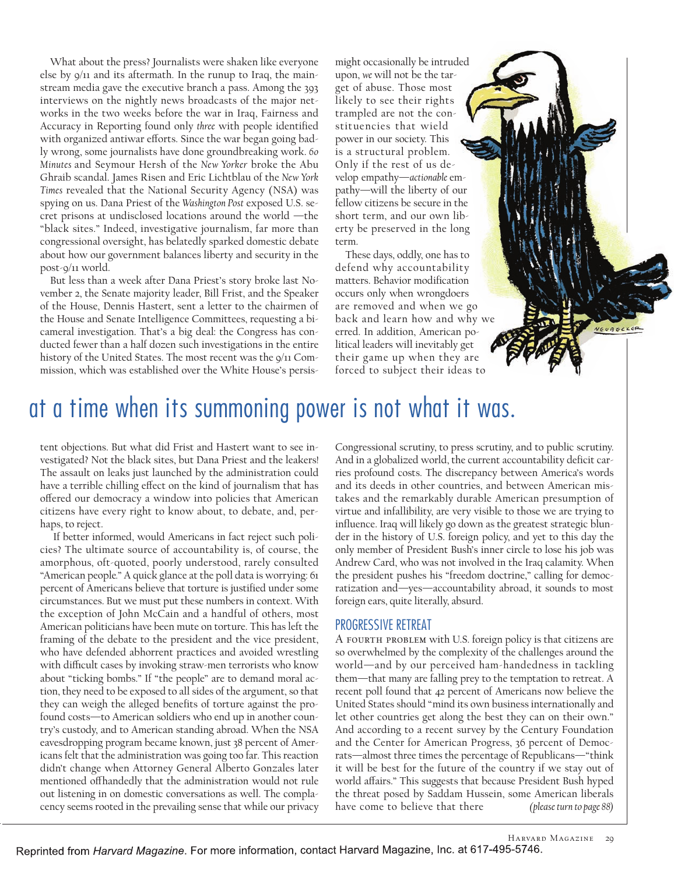What about the press? Journalists were shaken like everyone else by 9/11 and its aftermath. In the runup to Iraq, the mainstream media gave the executive branch a pass. Among the 393 interviews on the nightly news broadcasts of the major networks in the two weeks before the war in Iraq, Fairness and Accuracy in Reporting found only *three* with people identified with organized antiwar efforts. Since the war began going badly wrong, some journalists have done groundbreaking work. *60 Minutes* and Seymour Hersh of the *New Yorker* broke the Abu Ghraib scandal. James Risen and Eric Lichtblau of the *New York Times* revealed that the National Security Agency (NSA) was spying on us. Dana Priest of the *Washington Post* exposed U.S. secret prisons at undisclosed locations around the world —the "black sites." Indeed, investigative journalism, far more than congressional oversight, has belatedly sparked domestic debate about how our government balances liberty and security in the post-9/11 world.

But less than a week after Dana Priest's story broke last November 2, the Senate majority leader, Bill Frist, and the Speaker of the House, Dennis Hastert, sent a letter to the chairmen of the House and Senate Intelligence Committees, requesting a bicameral investigation. That's a big deal: the Congress has conducted fewer than a half dozen such investigations in the entire history of the United States. The most recent was the 9/11 Commission, which was established over the White House's persis-

might occasionally be intruded upon, *we* will not be the target of abuse. Those most likely to see their rights trampled are not the constituencies that wield power in our society. This is a structural problem. Only if the rest of us develop empathy—*actionable* empathy—will the liberty of our fellow citizens be secure in the short term, and our own liberty be preserved in the long term.

These days, oddly, one has to defend why accountability matters. Behavior modification occurs only when wrongdoers are removed and when we go back and learn how and why we erred. In addition, American political leaders will inevitably get their game up when they are forced to subject their ideas to

## at a time when its summoning power is not what it was.

tent objections. But what did Frist and Hastert want to see investigated? Not the black sites, but Dana Priest and the leakers! The assault on leaks just launched by the administration could have a terrible chilling effect on the kind of journalism that has offered our democracy a window into policies that American citizens have every right to know about, to debate, and, perhaps, to reject.

If better informed, would Americans in fact reject such policies? The ultimate source of accountability is, of course, the amorphous, oft-quoted, poorly understood, rarely consulted "American people*.*" A quick glance at the poll data is worrying: 61 percent of Americans believe that torture is justified under some circumstances. But we must put these numbers in context. With the exception of John McCain and a handful of others, most American politicians have been mute on torture. This has left the framing of the debate to the president and the vice president, who have defended abhorrent practices and avoided wrestling with difficult cases by invoking straw-men terrorists who know about "ticking bombs." If "the people" are to demand moral action, they need to be exposed to all sides of the argument, so that they can weigh the alleged benefits of torture against the profound costs—to American soldiers who end up in another country's custody, and to American standing abroad. When the NSA eavesdropping program became known, just 38 percent of Americans felt that the administration was going too far. This reaction didn't change when Attorney General Alberto Gonzales later mentioned offhandedly that the administration would not rule out listening in on domestic conversations as well. The complacency seems rooted in the prevailing sense that while our privacy

Congressional scrutiny, to press scrutiny, and to public scrutiny. And in a globalized world, the current accountability deficit carries profound costs. The discrepancy between America's words and its deeds in other countries, and between American mistakes and the remarkably durable American presumption of virtue and infallibility, are very visible to those we are trying to influence. Iraq will likely go down as the greatest strategic blunder in the history of U.S. foreign policy, and yet to this day the only member of President Bush's inner circle to lose his job was Andrew Card, who was not involved in the Iraq calamity. When the president pushes his "freedom doctrine," calling for democratization and—yes—accountability abroad, it sounds to most foreign ears, quite literally, absurd.

#### PROGRESSIVE RETREAT

A fourth problem with U.S. foreign policy is that citizens are so overwhelmed by the complexity of the challenges around the world—and by our perceived ham-handedness in tackling them—that many are falling prey to the temptation to retreat. A recent poll found that 42 percent of Americans now believe the United States should "mind its own business internationally and let other countries get along the best they can on their own." And according to a recent survey by the Century Foundation and the Center for American Progress, 36 percent of Democrats—almost three times the percentage of Republicans—"think it will be best for the future of the country if we stay out of world affairs." This suggests that because President Bush hyped the threat posed by Saddam Hussein, some American liberals have come to believe that there *(please turn to page 88)*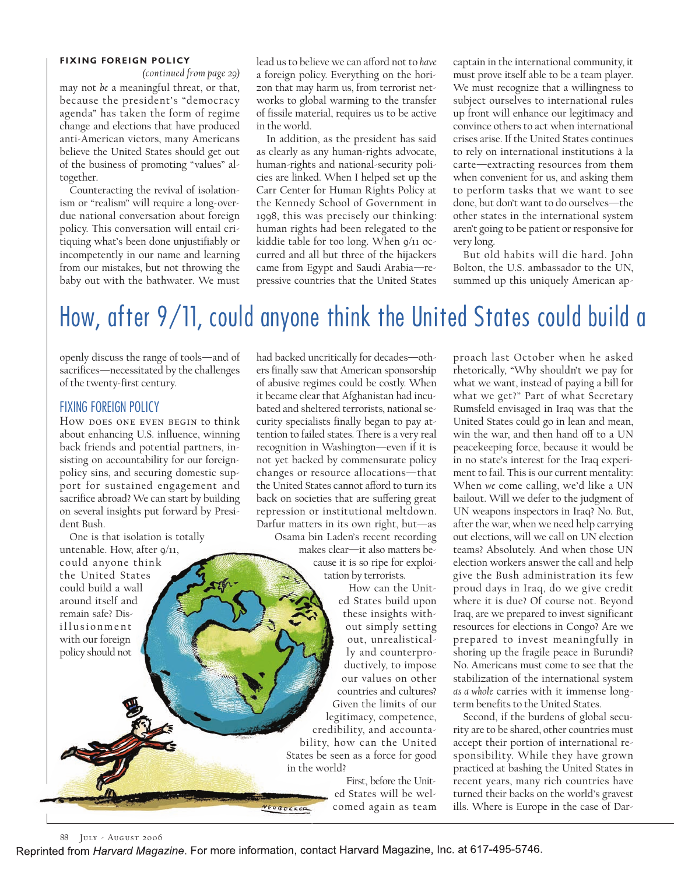#### **FIXING FOREIGN POLICY**

may not *be* a meaningful threat, or that, because the president's "democracy agenda" has taken the form of regime change and elections that have produced anti-American victors, many Americans believe the United States should get out of the business of promoting "values" altogether. *(continued from page 29)*

Counteracting the revival of isolationism or "realism" will require a long-overdue national conversation about foreign policy. This conversation will entail critiquing what's been done unjustifiably or incompetently in our name and learning from our mistakes, but not throwing the baby out with the bathwater. We must

lead us to believe we can afford not to *have* a foreign policy. Everything on the horizon that may harm us, from terrorist networks to global warming to the transfer of fissile material, requires us to be active in the world.

In addition, as the president has said as clearly as any human-rights advocate, human-rights and national-security policies are linked. When I helped set up the Carr Center for Human Rights Policy at the Kennedy School of Government in 1998, this was precisely our thinking: human rights had been relegated to the kiddie table for too long. When 9/11 occurred and all but three of the hijackers came from Egypt and Saudi Arabia—repressive countries that the United States

captain in the international community, it must prove itself able to be a team player. We must recognize that a willingness to subject ourselves to international rules up front will enhance our legitimacy and convince others to act when international crises arise. If the United States continues to rely on international institutions à la carte—extracting resources from them when convenient for us, and asking them to perform tasks that we want to see done, but don't want to do ourselves—the other states in the international system aren't going to be patient or responsive for very long.

But old habits will die hard. John Bolton, the U.S. ambassador to the UN, summed up this uniquely American ap-

# How, after  $9/11$ , could anyone think the United States could build a

openly discuss the range of tools—and of sacrifices—necessitated by the challenges of the twenty-first century.

#### FIXING FOREIGN POLICY

How does one even begin to think about enhancing U.S. influence, winning back friends and potential partners, insisting on accountability for our foreignpolicy sins, and securing domestic support for sustained engagement and sacrifice abroad? We can start by building on several insights put forward by President Bush.

One is that isolation is totally untenable. How, after  $9/11$ ,

could anyone think the United States could build a wall around itself and remain safe? Disillusionment with our foreign policy should not

had backed uncritically for decades—others finally saw that American sponsorship of abusive regimes could be costly. When it became clear that Afghanistan had incubated and sheltered terrorists, national security specialists finally began to pay attention to failed states. There is a very real recognition in Washington—even if it is not yet backed by commensurate policy changes or resource allocations—that the United States cannot afford to turn its back on societies that are suffering great repression or institutional meltdown. Darfur matters in its own right, but—as

Osama bin Laden's recent recording makes clear—it also matters because it is so ripe for exploi-

tation by terrorists. How can the United States build upon

these insights without simply setting out, unrealistically and counterproductively, to impose our values on other countries and cultures? Given the limits of our legitimacy, competence,

credibility, and accountability, how can the United States be seen as a force for good in the world?

> First, before the United States will be welcomed again as team

proach last October when he asked rhetorically, "Why shouldn't we pay for what we want, instead of paying a bill for what we get?" Part of what Secretary Rumsfeld envisaged in Iraq was that the United States could go in lean and mean, win the war, and then hand off to a UN peacekeeping force, because it would be in no state's interest for the Iraq experiment to fail. This is our current mentality: When *we* come calling, we'd like a UN bailout. Will we defer to the judgment of UN weapons inspectors in Iraq? No. But, after the war, when we need help carrying out elections, will we call on UN election teams? Absolutely. And when those UN election workers answer the call and help give the Bush administration its few proud days in Iraq, do we give credit where it is due? Of course not. Beyond Iraq, are we prepared to invest significant resources for elections in Congo? Are we prepared to invest meaningfully in shoring up the fragile peace in Burundi? No. Americans must come to see that the stabilization of the international system *as a whole* carries with it immense longterm benefits to the United States.

Second, if the burdens of global security are to be shared, other countries must accept their portion of international responsibility. While they have grown practiced at bashing the United States in recent years, many rich countries have turned their backs on the world's gravest ills. Where is Europe in the case of Dar-

Reprinted from Harvard Magazine. For more information, contact Harvard Magazine, Inc. at 617-495-5746.

VEUBECKER

<sup>88</sup> July - August 2006